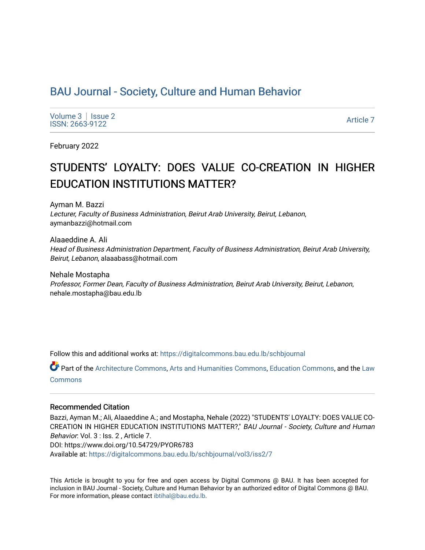# [BAU Journal - Society, Culture and Human Behavior](https://digitalcommons.bau.edu.lb/schbjournal)

Volume  $3 \mid$  Issue 2 Produce 3 | ISSUE 2<br>ISSN: 2663-9122

February 2022

# STUDENTS' LOYALTY: DOES VALUE CO-CREATION IN HIGHER EDUCATION INSTITUTIONS MATTER?

Ayman M. Bazzi Lecturer, Faculty of Business Administration, Beirut Arab University, Beirut, Lebanon, aymanbazzi@hotmail.com

Alaaeddine A. Ali Head of Business Administration Department, Faculty of Business Administration, Beirut Arab University, Beirut, Lebanon, alaaabass@hotmail.com

Nehale Mostapha Professor, Former Dean, Faculty of Business Administration, Beirut Arab University, Beirut, Lebanon, nehale.mostapha@bau.edu.lb

Follow this and additional works at: [https://digitalcommons.bau.edu.lb/schbjournal](https://digitalcommons.bau.edu.lb/schbjournal?utm_source=digitalcommons.bau.edu.lb%2Fschbjournal%2Fvol3%2Fiss2%2F7&utm_medium=PDF&utm_campaign=PDFCoverPages)

Part of the [Architecture Commons](http://network.bepress.com/hgg/discipline/773?utm_source=digitalcommons.bau.edu.lb%2Fschbjournal%2Fvol3%2Fiss2%2F7&utm_medium=PDF&utm_campaign=PDFCoverPages), [Arts and Humanities Commons](http://network.bepress.com/hgg/discipline/438?utm_source=digitalcommons.bau.edu.lb%2Fschbjournal%2Fvol3%2Fiss2%2F7&utm_medium=PDF&utm_campaign=PDFCoverPages), [Education Commons,](http://network.bepress.com/hgg/discipline/784?utm_source=digitalcommons.bau.edu.lb%2Fschbjournal%2Fvol3%2Fiss2%2F7&utm_medium=PDF&utm_campaign=PDFCoverPages) and the Law [Commons](http://network.bepress.com/hgg/discipline/578?utm_source=digitalcommons.bau.edu.lb%2Fschbjournal%2Fvol3%2Fiss2%2F7&utm_medium=PDF&utm_campaign=PDFCoverPages)

#### Recommended Citation

Bazzi, Ayman M.; Ali, Alaaeddine A.; and Mostapha, Nehale (2022) "STUDENTS' LOYALTY: DOES VALUE CO-CREATION IN HIGHER EDUCATION INSTITUTIONS MATTER?," BAU Journal - Society, Culture and Human Behavior: Vol. 3 : Iss. 2 , Article 7. DOI: https://www.doi.org/10.54729/PYOR6783 Available at: [https://digitalcommons.bau.edu.lb/schbjournal/vol3/iss2/7](https://digitalcommons.bau.edu.lb/schbjournal/vol3/iss2/7?utm_source=digitalcommons.bau.edu.lb%2Fschbjournal%2Fvol3%2Fiss2%2F7&utm_medium=PDF&utm_campaign=PDFCoverPages)

This Article is brought to you for free and open access by Digital Commons @ BAU. It has been accepted for inclusion in BAU Journal - Society, Culture and Human Behavior by an authorized editor of Digital Commons @ BAU. For more information, please contact [ibtihal@bau.edu.lb.](mailto:ibtihal@bau.edu.lb)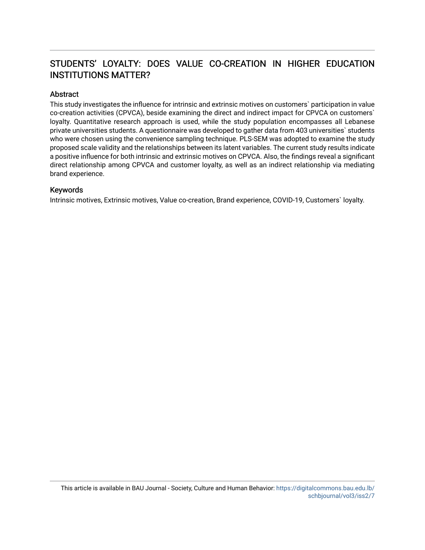# STUDENTS' LOYALTY: DOES VALUE CO-CREATION IN HIGHER EDUCATION INSTITUTIONS MATTER?

# Abstract

This study investigates the influence for intrinsic and extrinsic motives on customers` participation in value co-creation activities (CPVCA), beside examining the direct and indirect impact for CPVCA on customers` loyalty. Quantitative research approach is used, while the study population encompasses all Lebanese private universities students. A questionnaire was developed to gather data from 403 universities` students who were chosen using the convenience sampling technique. PLS-SEM was adopted to examine the study proposed scale validity and the relationships between its latent variables. The current study results indicate a positive influence for both intrinsic and extrinsic motives on CPVCA. Also, the findings reveal a significant direct relationship among CPVCA and customer loyalty, as well as an indirect relationship via mediating brand experience.

#### Keywords

Intrinsic motives, Extrinsic motives, Value co-creation, Brand experience, COVID-19, Customers` loyalty.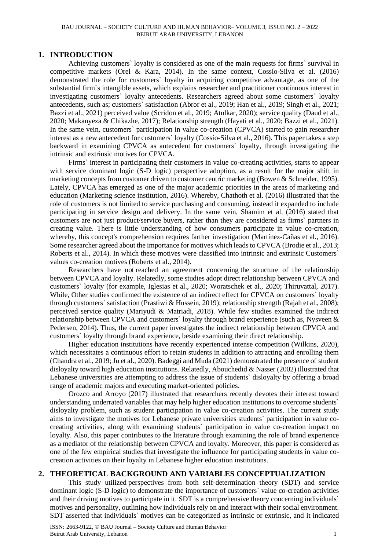#### BAU JOURNAL – SOCIETY CULTURE AND HUMAN BEHAVIOR– VOLUME 3, ISSUE NO. 2 – 2022 BEIRUT ARAB UNIVERSITY, LEBANON

#### **1. INTRODUCTION**

Achieving customers` loyalty is considered as one of the main requests for firms` survival in competitive markets (Orel & Kara, 2014). In the same context, Cossío-Silva et al. (2016) demonstrated the role for customers` loyalty in acquiring competitive advantage, as one of the substantial firm`s intangible assets, which explains researcher and practitioner continuous interest in investigating customers` loyalty antecedents. Researchers agreed about some customers` loyalty antecedents, such as; customers` satisfaction (Abror et al., 2019; Han et al., 2019; Singh et al., 2021; Bazzi et al., 2021) perceived value (Scridon et al., 2019; Atulkar, 2020); service quality (Daud et al., 2020; Makanyeza & Chikazhe, 2017); Relationship strength (Hayati et al., 2020; Bazzi et al., 2021). In the same vein, customers` participation in value co-creation (CPVCA) started to gain researcher interest as a new antecedent for customers` loyalty (Cossío-Silva et al., 2016). This paper takes a step backward in examining CPVCA as antecedent for customers` loyalty, through investigating the intrinsic and extrinsic motives for CPVCA.

Firms` interest in participating their customers in value co-creating activities, starts to appear with service dominant logic (S-D logic) perspective adoption, as a result for the major shift in marketing concepts from customer driven to customer centric marketing (Bowen & Schneider, 1995). Lately, CPVCA has emerged as one of the major academic priorities in the areas of marketing and education (Marketing science institution, 2016). Whereby, Chathoth et al. (2016) illustrated that the role of customers is not limited to service purchasing and consuming, instead it expanded to include participating in service design and delivery. In the same vein, Shamim et al. (2016) stated that customers are not just product/service buyers, rather than they are considered as firms` partners in creating value. There is little understanding of how consumers participate in value co-creation, whereby, this concept's comprehension requires farther investigation (Martínez-Cañas et al., 2016). Some researcher agreed about the importance for motives which leads to CPVCA (Brodie et al., 2013; Roberts et al., 2014). In which these motives were classified into intrinsic and extrinsic Customers` values co-creation motives (Roberts et al., 2014).

Researchers have not reached an agreement concerning the structure of the relationship between CPVCA and loyalty. Relatedly, some studies adopt direct relationship between CPVCA and customers` loyalty (for example, Iglesias et al., 2020; Woratschek et al., 2020; Thiruvattal, 2017). While, Other studies confirmed the existence of an indirect effect for CPVCA on customers` loyalty through customers` satisfaction (Prastiwi & Hussein, 2019); relationship strength (Rajah et al., 2008); perceived service quality (Mariyudi & Matriadi, 2018). While few studies examined the indirect relationship between CPVCA and customers` loyalty through brand experience (such as, Nysveen & Pedersen, 2014). Thus, the current paper investigates the indirect relationship between CPVCA and customers` loyalty through brand experience, beside examining their direct relationship.

Higher education institutions have recently experienced intense competition (Wilkins, 2020), which necessitates a continuous effort to retain students in addition to attracting and enrolling them (Chandra et al., 2019; Ju et al., 2020). Badeggi and Muda (2021) demonstrated the presence of student disloyalty toward high education institutions. Relatedly, Abouchedid & Nasser (2002) illustrated that Lebanese universities are attempting to address the issue of students` disloyalty by offering a broad range of academic majors and executing market-oriented policies.

Orozco and Arroyo (2017) illustrated that researchers recently devotes their interest toward understanding underrated variables that may help higher education institutions to overcome students` disloyalty problem, such as student participation in value co-creation activities. The current study aims to investigate the motives for Lebanese private universities students` participation in value cocreating activities, along with examining students` participation in value co-creation impact on loyalty. Also, this paper contributes to the literature through examining the role of brand experience as a mediator of the relationship between CPVCA and loyalty. Moreover, this paper is considered as one of the few empirical studies that investigate the influence for participating students in value cocreation activities on their loyalty in Lebanese higher education institutions.

#### **2. THEORETICAL BACKGROUND AND VARIABLES CONCEPTUALIZATION**

This study utilized perspectives from both self-determination theory (SDT) and service dominant logic (S-D logic) to demonstrate the importance of customers` value co-creation activities and their driving motives to participate in it. SDT is a comprehensive theory concerning individuals` motives and personality, outlining how individuals rely on and interact with their social environment. SDT asserted that individuals` motives can be categorized as intrinsic or extrinsic, and it indicated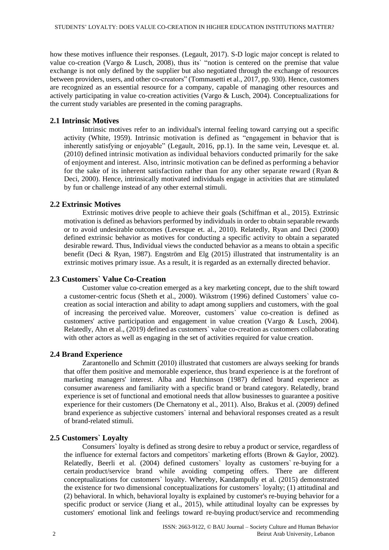how these motives influence their responses. (Legault, 2017). S-D logic major concept is related to value co-creation (Vargo & Lusch, 2008), thus its` "notion is centered on the premise that value exchange is not only defined by the supplier but also negotiated through the exchange of resources between providers, users, and other co-creators" (Tommasetti et al., 2017, pp. 930). Hence, customers are recognized as an essential resource for a company, capable of managing other resources and actively participating in value co-creation activities (Vargo & Lusch, 2004). Conceptualizations for the current study variables are presented in the coming paragraphs.

# **2.1 Intrinsic Motives**

Intrinsic motives refer to an individual's internal feeling toward carrying out a specific activity (White, 1959). Intrinsic motivation is defined as "engagement in behavior that is inherently satisfying or enjoyable" (Legault, 2016, pp.1). In the same vein, Levesque et. al. (2010) defined intrinsic motivation as individual behaviors conducted primarily for the sake of enjoyment and interest. Also, intrinsic motivation can be defined as performing a behavior for the sake of its inherent satisfaction rather than for any other separate reward (Ryan  $\&$ Deci, 2000). Hence, intrinsically motivated individuals engage in activities that are stimulated by fun or challenge instead of any other external stimuli.

#### **2.2 Extrinsic Motives**

Extrinsic motives drive people to achieve their goals (Schiffman et al., 2015). Extrinsic motivation is defined as behaviors performed by individuals in order to obtain separable rewards or to avoid undesirable outcomes (Levesque et. al., 2010). Relatedly, Ryan and Deci (2000) defined extrinsic behavior as motives for conducting a specific activity to obtain a separated desirable reward. Thus, Individual views the conducted behavior as a means to obtain a specific benefit (Deci & Ryan, 1987). Engström and Elg (2015) illustrated that instrumentality is an extrinsic motives primary issue. As a result, it is regarded as an externally directed behavior.

#### **2.3 Customers` Value Co-Creation**

Customer value co-creation emerged as a key marketing concept, due to the shift toward a customer-centric focus (Sheth et al., 2000). Wikstrom (1996) defined Customers` value cocreation as social interaction and ability to adapt among suppliers and customers, with the goal of increasing the perceived value. Moreover, customers` value co-creation is defined as customers' active participation and engagement in value creation (Vargo & Lusch, 2004). Relatedly, Ahn et al., (2019) defined as customers` value co-creation as customers collaborating with other actors as well as engaging in the set of activities required for value creation.

#### **2.4 Brand Experience**

Zarantonello and Schmitt (2010) illustrated that customers are always seeking for brands that offer them positive and memorable experience, thus brand experience is at the forefront of marketing managers' interest. Alba and Hutchinson (1987) defined brand experience as consumer awareness and familiarity with a specific brand or brand category. Relatedly, brand experience is set of functional and emotional needs that allow businesses to guarantee a positive experience for their customers (De Chernatony et al., 2011). Also, Brakus et al. (2009) defined brand experience as subjective customers` internal and behavioral responses created as a result of brand-related stimuli.

#### **2.5 Customers` Loyalty**

Consumers` loyalty is defined as strong desire to rebuy a product or service, regardless of the influence for external factors and competitors` marketing efforts (Brown & Gaylor, 2002). Relatedly, Beerli et al. (2004) defined customers` loyalty as customers` re-buying for a certain product/service brand while avoiding competing offers. There are different conceptualizations for customers` loyalty. Whereby, Kandampully et al. (2015) demonstrated the existence for two dimensional conceptualizations for customers` loyalty; (1) attitudinal and (2) behavioral. In which, behavioral loyalty is explained by customer's re-buying behavior for a specific product or service (Jiang et al., 2015), while attitudinal loyalty can be expresses by customers' emotional link and feelings toward re-buying product/service and recommending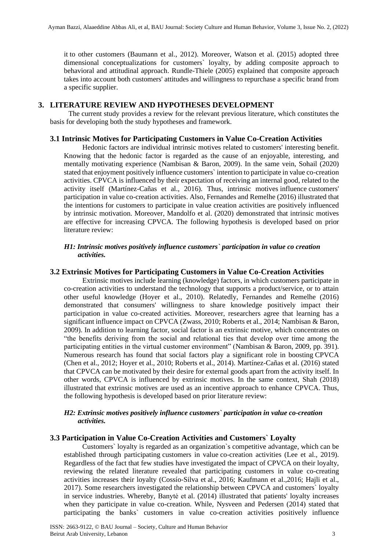it to other customers (Baumann et al., 2012). Moreover, Watson et al. (2015) adopted three dimensional conceptualizations for customers` loyalty, by adding composite approach to behavioral and attitudinal approach. Rundle-Thiele (2005) explained that composite approach takes into account both customers' attitudes and willingness to repurchase a specific brand from a specific supplier.

# **3. LITERATURE REVIEW AND HYPOTHESES DEVELOPMENT**

The current study provides a review for the relevant previous literature, which constitutes the basis for developing both the study hypotheses and framework.

#### **3.1 Intrinsic Motives for Participating Customers in Value Co-Creation Activities**

Hedonic factors are individual intrinsic motives related to customers' interesting benefit. Knowing that the hedonic factor is regarded as the cause of an enjoyable, interesting, and mentally motivating experience (Nambisan & Baron, 2009). In the same vein, Sohail (2020) stated that enjoyment positively influence customers` intention to participate in value co-creation activities. CPVCA is influenced by their expectation of receiving an internal good, related to the activity itself (Martínez-Cañas et al., 2016). Thus, intrinsic motives influence customers' participation in value co-creation activities. Also, Fernandes and Remelhe (2016) illustrated that the intentions for customers to participate in value creation activities are positively influenced by intrinsic motivation. Moreover, Mandolfo et al. (2020) demonstrated that intrinsic motives are effective for increasing CPVCA. The following hypothesis is developed based on prior literature review:

#### *H1: Intrinsic motives positively influence customers` participation in value co creation activities.*

#### **3.2 Extrinsic Motives for Participating Customers in Value Co-Creation Activities**

Extrinsic motives include learning (knowledge) factors, in which customers participate in co-creation activities to understand the technology that supports a product/service, or to attain other useful knowledge (Hoyer et al., 2010). Relatedly, Fernandes and Remelhe (2016) demonstrated that consumers' willingness to share knowledge positively impact their participation in value co-created activities. Moreover, researchers agree that learning has a significant influence impact on CPVCA (Zwass, 2010; Roberts et al., 2014; Nambisan & Baron, 2009). In addition to learning factor, social factor is an extrinsic motive, which concentrates on "the benefits deriving from the social and relational ties that develop over time among the participating entities in the virtual customer environment" (Nambisan & Baron, 2009, pp. 391). Numerous research has found that social factors play a significant role in boosting CPVCA (Chen et al., 2012; Hoyer et al., 2010; Roberts et al., 2014). Martínez-Cañas et al. (2016) stated that CPVCA can be motivated by their desire for external goods apart from the activity itself. In other words, CPVCA is influenced by extrinsic motives. In the same context, Shah (2018) illustrated that extrinsic motives are used as an incentive approach to enhance CPVCA. Thus, the following hypothesis is developed based on prior literature review:

#### *H2: Extrinsic motives positively influence customers` participation in value co-creation activities.*

#### **3.3 Participation in Value Co-Creation Activities and Customers` Loyalty**

Customers` loyalty is regarded as an organization`s competitive advantage, which can be established through participating customers in value co-creation activities (Lee et al., 2019). Regardless of the fact that few studies have investigated the impact of CPVCA on their loyalty, reviewing the related literature revealed that participating customers in value co-creating activities increases their loyalty (Cossío-Silva et al., 2016; Kaufmann et al.,2016; Hajli et al., 2017). Some researchers investigated the relationship between CPVCA and customers` loyalty in service industries. Whereby, Banytė et al. (2014) illustrated that patients' loyalty increases when they participate in value co-creation. While, Nysveen and Pedersen (2014) stated that participating the banks` customers in value co-creation activities positively influence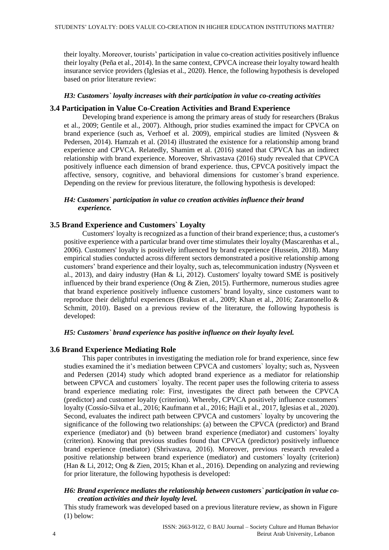their loyalty. Moreover, tourists' participation in value co-creation activities positively influence their loyalty (Peña et al., 2014). In the same context, CPVCA increase their loyalty toward health insurance service providers (Iglesias et al., 2020). Hence, the following hypothesis is developed based on prior literature review:

#### *H3: Customers` loyalty increases with their participation in value co-creating activities*

#### **3.4 Participation in Value Co-Creation Activities and Brand Experience**

Developing brand experience is among the primary areas of study for researchers (Brakus et al., 2009; Gentile et al., 2007). Although, prior studies examined the impact for CPVCA on brand experience (such as, Verhoef et al. 2009), empirical studies are limited (Nysveen & Pedersen, 2014). Hamzah et al. (2014) illustrated the existence for a relationship among brand experience and CPVCA. Relatedly, Shamim et al. (2016) stated that CPVCA has an indirect relationship with brand experience. Moreover, Shrivastava (2016) study revealed that CPVCA positively influence each dimension of brand experience. thus, CPVCA positively impact the affective, sensory, cognitive, and behavioral dimensions for customer`s brand experience. Depending on the review for previous literature, the following hypothesis is developed:

#### *H4: Customers` participation in value co creation activities influence their brand experience.*

## **3.5 Brand Experience and Customers` Loyalty**

Customers' loyalty is recognized as a function of their brand experience; thus, a customer's positive experience with a particular brand over time stimulates their loyalty (Mascarenhas et al., 2006). Customers' loyalty is positively influenced by brand experience (Hussein, 2018). Many empirical studies conducted across different sectors demonstrated a positive relationship among customers' brand experience and their loyalty, such as, telecommunication industry (Nysveen et al., 2013), and dairy industry (Han & Li, 2012). Customers' loyalty toward SME is positively influenced by their brand experience (Ong  $&$  Zien, 2015). Furthermore, numerous studies agree that brand experience positively influence customers` brand loyalty, since customers want to reproduce their delightful experiences (Brakus et al., 2009; Khan et al., 2016; Zarantonello & Schmitt, 2010). Based on a previous review of the literature, the following hypothesis is developed:

#### *H5: Customers` brand experience has positive influence on their loyalty level.*

#### **3.6 Brand Experience Mediating Role**

This paper contributes in investigating the mediation role for brand experience, since few studies examined the it's mediation between CPVCA and customers` loyalty; such as, Nysveen and Pedersen (2014) study which adopted brand experience as a mediator for relationship between CPVCA and customers` loyalty. The recent paper uses the following criteria to assess brand experience mediating role: First, investigates the direct path between the CPVCA (predictor) and customer loyalty (criterion). Whereby, CPVCA positively influence customers` loyalty (Cossío-Silva et al., 2016; Kaufmann et al., 2016; Hajli et al., 2017, Iglesias et al., 2020). Second, evaluates the indirect path between CPVCA and customers` loyalty by uncovering the significance of the following two relationships: (a) between the CPVCA (predictor) and Brand experience (mediator) and (b) between brand experience (mediator) and customers` loyalty (criterion). Knowing that previous studies found that CPVCA (predictor) positively influence brand experience (mediator) (Shrivastava, 2016). Moreover, previous research revealed a positive relationship between brand experience (mediator) and customers` loyalty (criterion) (Han & Li, 2012; Ong & Zien, 2015; Khan et al., 2016). Depending on analyzing and reviewing for prior literature, the following hypothesis is developed:

#### *H6: Brand experience mediates the relationship between customers` participation in value cocreation activities and their loyalty level.*

This study framework was developed based on a previous literature review, as shown in Figure (1) below: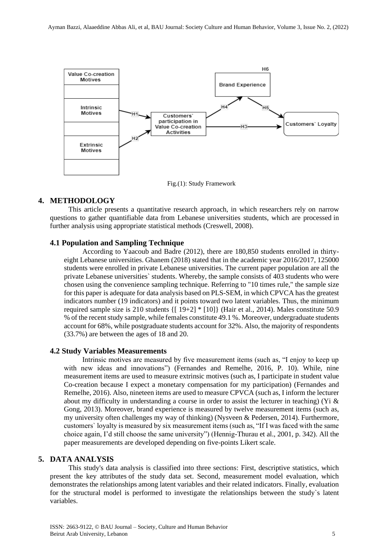

Fig.(1): Study Framework

#### **4. METHODOLOGY**

This article presents a quantitative research approach, in which researchers rely on narrow questions to gather quantifiable data from Lebanese universities students, which are processed in further analysis using appropriate statistical methods (Creswell, 2008).

# **4.1 Population and Sampling Technique**

According to Yaacoub and Badre (2012), there are 180,850 students enrolled in thirtyeight Lebanese universities. Ghanem (2018) stated that in the academic year 2016/2017, 125000 students were enrolled in private Lebanese universities. The current paper population are all the private Lebanese universities` students. Whereby, the sample consists of 403 students who were chosen using the convenience sampling technique. Referring to "10 times rule," the sample size for this paper is adequate for data analysis based on PLS-SEM, in which CPVCA has the greatest indicators number (19 indicators) and it points toward two latent variables. Thus, the minimum required sample size is 210 students  $\{[19+2] * [10]\}$  (Hair et al., 2014). Males constitute 50.9 % of the recent study sample, while females constitute 49.1 %. Moreover, undergraduate students account for 68%, while postgraduate students account for 32%. Also, the majority of respondents (33.7%) are between the ages of 18 and 20.

#### **4.2 Study Variables Measurements**

Intrinsic motives are measured by five measurement items (such as, "I enjoy to keep up with new ideas and innovations") (Fernandes and Remelhe, 2016, P. 10). While, nine measurement items are used to measure extrinsic motives (such as, I participate in student value Co-creation because I expect a monetary compensation for my participation) (Fernandes and Remelhe, 2016). Also, nineteen items are used to measure CPVCA (such as, I inform the lecturer about my difficulty in understanding a course in order to assist the lecturer in teaching) (Yi  $\&$ Gong, 2013). Moreover, brand experience is measured by twelve measurement items (such as, my university often challenges my way of thinking) (Nysveen & Pedersen, 2014). Furthermore, customers` loyalty is measured by six measurement items (such as, "If I was faced with the same choice again, I'd still choose the same university") (Hennig-Thurau et al., 2001, p. 342). All the paper measurements are developed depending on five-points Likert scale.

#### **5. DATA ANALYSIS**

This study's data analysis is classified into three sections: First, descriptive statistics, which present the key attributes of the study data set. Second, measurement model evaluation, which demonstrates the relationships among latent variables and their related indicators. Finally, evaluation for the structural model is performed to investigate the relationships between the study`s latent variables.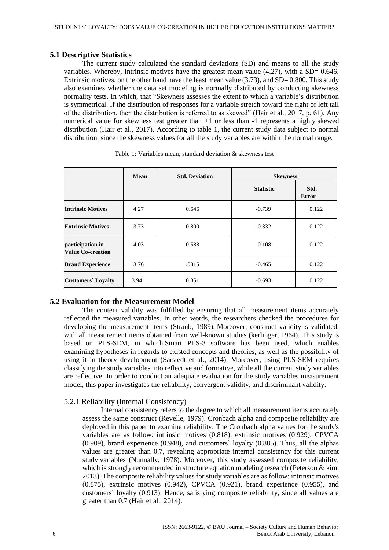#### **5.1 Descriptive Statistics**

The current study calculated the standard deviations (SD) and means to all the study variables. Whereby, Intrinsic motives have the greatest mean value (4.27), with a SD= 0.646. Extrinsic motives, on the other hand have the least mean value  $(3.73)$ , and SD= 0.800. This study also examines whether the data set modeling is normally distributed by conducting skewness normality tests. In which, that "Skewness assesses the extent to which a variable's distribution is symmetrical. If the distribution of responses for a variable stretch toward the right or left tail of the distribution, then the distribution is referred to as skewed" (Hair et al., 2017, p. 61). Any numerical value for skewness test greater than  $+1$  or less than  $-1$  represents a highly skewed distribution (Hair et al., 2017). According to table 1, the current study data subject to normal distribution, since the skewness values for all the study variables are within the normal range.

|                                              | Mean | <b>Std. Deviation</b> | <b>Skewness</b>  |                      |
|----------------------------------------------|------|-----------------------|------------------|----------------------|
|                                              |      |                       | <b>Statistic</b> | Std.<br><b>Error</b> |
| <b>Intrinsic Motives</b>                     | 4.27 | 0.646                 | $-0.739$         | 0.122                |
| <b>Extrinsic Motives</b>                     | 3.73 | 0.800                 | $-0.332$         | 0.122                |
| participation in<br><b>Value Co-creation</b> | 4.03 | 0.588                 | $-0.108$         | 0.122                |
| <b>Brand Experience</b>                      | 3.76 | .0815                 | $-0.465$         | 0.122                |
| <b>Customers</b> ' Loyalty                   | 3.94 | 0.851                 | $-0.693$         | 0.122                |

Table 1: Variables mean, standard deviation & skewness test

# **5.2 Evaluation for the Measurement Model**

The content validity was fulfilled by ensuring that all measurement items accurately reflected the measured variables. In other words, the researchers checked the procedures for developing the measurement items (Straub, 1989). Moreover, construct validity is validated, with all measurement items obtained from well-known studies (kerlinger, 1964). This study is based on PLS-SEM, in which Smart PLS-3 software has been used, which enables examining hypotheses in regards to existed concepts and theories, as well as the possibility of using it in theory development (Sarstedt et al., 2014). Moreover, using PLS-SEM requires classifying the study variables into reflective and formative, while all the current study variables are reflective. In order to conduct an adequate evaluation for the study variables measurement model, this paper investigates the reliability, convergent validity, and discriminant validity.

#### 5.2.1 Reliability (Internal Consistency)

Internal consistency refers to the degree to which all measurement items accurately assess the same construct (Revelle, 1979). Cronbach alpha and composite reliability are deployed in this paper to examine reliability. The Cronbach alpha values for the study's variables are as follow: intrinsic motives (0.818), extrinsic motives (0.929), CPVCA (0.909), brand experience (0.948), and customers` loyalty (0.885). Thus, all the alphas values are greater than 0.7, revealing appropriate internal consistency for this current study variables (Nunnally, 1978). Moreover, this study assessed composite reliability, which is strongly recommended in structure equation modeling research (Peterson & kim, 2013). The composite reliability values for study variables are as follow: intrinsic motives (0.875), extrinsic motives (0.942), CPVCA (0.921), brand experience (0.955), and customers` loyalty (0.913). Hence, satisfying composite reliability, since all values are greater than 0.7 (Hair et al., 2014).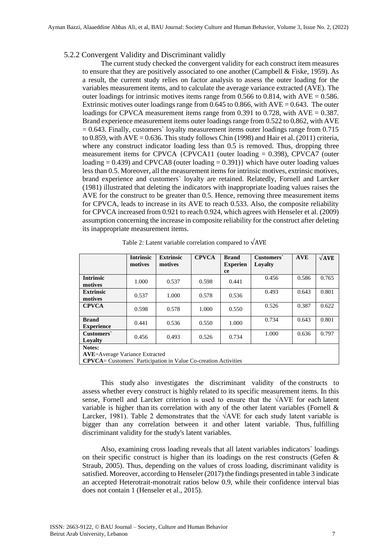#### 5.2.2 Convergent Validity and Discriminant validly

The current study checked the convergent validity for each construct item measures to ensure that they are positively associated to one another (Campbell & Fiske, 1959). As a result, the current study relies on factor analysis to assess the outer loading for the variables measurement items, and to calculate the average variance extracted (AVE). The outer loadings for intrinsic motives items range from 0.566 to 0.814, with  $AVE = 0.586$ . Extrinsic motives outer loadings range from 0.645 to 0.866, with  $AVE = 0.643$ . The outer loadings for CPVCA measurement items range from 0.391 to 0.728, with  $AVE = 0.387$ . Brand experience measurement items outer loadings range from 0.522 to 0.862, with AVE  $= 0.643$ . Finally, customers` loyalty measurement items outer loadings range from 0.715 to 0.859, with  $AVE = 0.636$ . This study follows Chin (1998) and Hair et al. (2011) criteria, where any construct indicator loading less than 0.5 is removed. Thus, dropping three measurement items for CPVCA  ${CPVCA11}$  (outer loading = 0.398), CPVCA7 (outer loading  $= 0.439$ ) and CPVCA8 (outer loading  $= 0.391$ ) which have outer loading values less than 0.5. Moreover, all the measurement items for intrinsic motives, extrinsic motives, brand experience and customers` loyalty are retained. Relatedly, Fornell and Larcker (1981) illustrated that deleting the indicators with inappropriate loading values raises the AVE for the construct to be greater than 0.5. Hence, removing three measurement items for CPVCA, leads to increase in its AVE to reach 0.533. Also, the composite reliability for CPVCA increased from 0.921 to reach 0.924, which agrees with Henseler et al. (2009) assumption concerning the increase in composite reliability for the construct after deleting its inappropriate measurement items.

|                                                                         | <b>Intrinsic</b><br>motives | <b>Extrinsic</b><br>motives | <b>CPVCA</b> | <b>Brand</b><br><b>Experien</b> | Customers<br>Lovalty | <b>AVE</b> | $\sqrt{AVE}$ |
|-------------------------------------------------------------------------|-----------------------------|-----------------------------|--------------|---------------------------------|----------------------|------------|--------------|
|                                                                         |                             |                             |              | <b>ce</b>                       |                      |            |              |
| <b>Intrinsic</b>                                                        | 1.000                       | 0.537                       | 0.598        | 0.441                           | 0.456                | 0.586      | 0.765        |
| motives                                                                 |                             |                             |              |                                 |                      |            |              |
| <b>Extrinsic</b>                                                        | 0.537                       | 1.000                       | 0.578        | 0.536                           | 0.493                | 0.643      | 0.801        |
| motives                                                                 |                             |                             |              |                                 |                      |            |              |
| <b>CPVCA</b>                                                            | 0.598                       | 0.578                       | 1.000        | 0.550                           | 0.526                | 0.387      | 0.622        |
|                                                                         |                             |                             |              |                                 |                      |            |              |
| <b>Brand</b>                                                            |                             |                             |              |                                 | 0.734                | 0.643      | 0.801        |
| <b>Experience</b>                                                       | 0.441                       | 0.536                       | 0.550        | 1.000                           |                      |            |              |
| Customers`                                                              |                             |                             |              |                                 | 1.000                | 0.636      | 0.797        |
| Lovalty                                                                 | 0.456                       | 0.493                       | 0.526        | 0.734                           |                      |            |              |
| Notes:                                                                  |                             |                             |              |                                 |                      |            |              |
| <b>AVE</b> =Average Variance Extracted                                  |                             |                             |              |                                 |                      |            |              |
| <b>CPVCA</b> = Customers' Participation in Value Co-creation Activities |                             |                             |              |                                 |                      |            |              |

Table 2: Latent variable correlation compared to  $\sqrt{\text{AVE}}$ 

This study also investigates the discriminant validity of the constructs to assess whether every construct is highly related to its specific measurement items. In this sense, Fornell and Larcker criterion is used to ensure that the √AVE for each latent variable is higher than its correlation with any of the other latent variables (Fornell & Larcker, 1981). Table 2 demonstrates that the  $\sqrt{\rm AVE}$  for each study latent variable is bigger than any correlation between it and other latent variable. Thus, fulfilling discriminant validity for the study's latent variables.

Also, examining cross loading reveals that all latent variables indicators` loadings on their specific construct is higher than its loadings on the rest constructs (Gefen  $\&$ Straub, 2005). Thus, depending on the values of cross loading, discriminant validity is satisfied. Moreover, according to Henseler (2017) the findings presented in table 3 indicate an accepted Heterotrait-monotrait ratios below 0.9, while their confidence interval bias does not contain 1 (Henseler et al., 2015).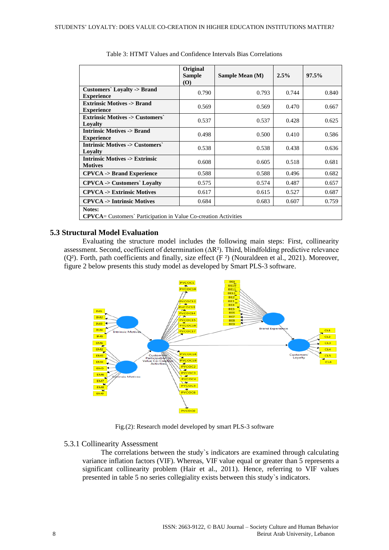|                                                                                   | Original<br><b>Sample</b><br><b>(O)</b> | Sample Mean (M) | 2.5%  | 97.5% |  |
|-----------------------------------------------------------------------------------|-----------------------------------------|-----------------|-------|-------|--|
| Customers' Loyalty -> Brand<br><b>Experience</b>                                  | 0.790                                   | 0.793           | 0.744 | 0.840 |  |
| <b>Extrinsic Motives -&gt; Brand</b><br><b>Experience</b>                         | 0.569                                   | 0.569           | 0.470 | 0.667 |  |
| <b>Extrinsic Motives -&gt; Customers'</b><br>Loyalty                              | 0.537                                   | 0.537           | 0.428 | 0.625 |  |
| <b>Intrinsic Motives -&gt; Brand</b><br><b>Experience</b>                         | 0.498                                   | 0.500           | 0.410 | 0.586 |  |
| <b>Intrinsic Motives -&gt; Customers'</b><br>Lovalty                              | 0.538                                   | 0.538           | 0.438 | 0.636 |  |
| <b>Intrinsic Motives -&gt; Extrinsic</b><br><b>Motives</b>                        | 0.608                                   | 0.605           | 0.518 | 0.681 |  |
| <b>CPVCA</b> -> Brand Experience                                                  | 0.588                                   | 0.588           | 0.496 | 0.682 |  |
| <b>CPVCA</b> -> Customers` Loyalty                                                | 0.575                                   | 0.574           | 0.487 | 0.657 |  |
| <b>CPVCA -&gt; Extrinsic Motives</b>                                              | 0.617                                   | 0.615           | 0.527 | 0.687 |  |
| <b>CPVCA</b> -> Intrinsic Motives                                                 | 0.684                                   | 0.683           | 0.607 | 0.759 |  |
| Notes:<br><b>CPVCA</b> = Customers' Participation in Value Co-creation Activities |                                         |                 |       |       |  |

#### **5.3 Structural Model Evaluation**

Evaluating the structure model includes the following main steps: First, collinearity assessment. Second, coefficient of determination (ΔR²). Third, blindfolding predictive relevance (Q²). Forth, path coefficients and finally, size effect (F ²) (Nouraldeen et al., 2021). Moreover, figure 2 below presents this study model as developed by Smart PLS-3 software.



Fig.(2): Research model developed by smart PLS-3 software

## 5.3.1 Collinearity Assessment

The correlations between the study`s indicators are examined through calculating variance inflation factors (VIF). Whereas, VIF value equal or greater than 5 represents a significant collinearity problem (Hair et al., 2011). Hence, referring to VIF values presented in table 5 no series collegiality exists between this study`s indicators.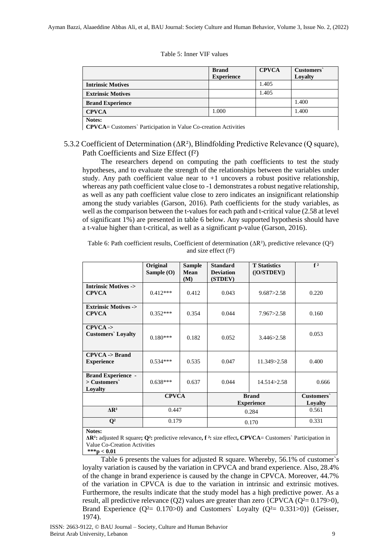| Table 5: Inner VIF values |  |  |
|---------------------------|--|--|
|---------------------------|--|--|

|                                                                                   | <b>Brand</b><br><b>Experience</b> | <b>CPVCA</b> | Customers`<br>Loyalty |  |  |  |
|-----------------------------------------------------------------------------------|-----------------------------------|--------------|-----------------------|--|--|--|
| <b>Intrinsic Motives</b>                                                          |                                   | 1.405        |                       |  |  |  |
| <b>Extrinsic Motives</b>                                                          |                                   | 1.405        |                       |  |  |  |
| <b>Brand Experience</b>                                                           |                                   |              | 1.400                 |  |  |  |
| <b>CPVCA</b>                                                                      | 1.000                             |              | 1.400                 |  |  |  |
| Notes:<br><b>CPVCA</b> = Customers' Participation in Value Co-creation Activities |                                   |              |                       |  |  |  |

# 5.3.2 Coefficient of Determination (ΔR²), Blindfolding Predictive Relevance (Q square), Path Coefficients and Size Effect (f²)

The researchers depend on computing the path coefficients to test the study hypotheses, and to evaluate the strength of the relationships between the variables under study. Any path coefficient value near to  $+1$  uncovers a robust positive relationship, whereas any path coefficient value close to -1 demonstrates a robust negative relationship, as well as any path coefficient value close to zero indicates an insignificant relationship among the study variables (Garson, 2016). Path coefficients for the study variables, as well as the comparison between the t-values for each path and t-critical value (2.58 at level of significant 1%) are presented in table 6 below. Any supported hypothesis should have a t-value higher than t-critical, as well as a significant p-value (Garson, 2016).

Table 6: Path coefficient results, Coefficient of determination  $(\Delta R^2)$ , predictive relevance ( $Q^2$ ) and size effect (f²)

|                                                        | Original<br>Sample $(O)$ | Sample<br>Mean<br>(M) | <b>Standard</b><br><b>Deviation</b><br>(STDEV) | <b>T</b> Statistics<br>( O/STDEV ) | f <sup>2</sup>        |
|--------------------------------------------------------|--------------------------|-----------------------|------------------------------------------------|------------------------------------|-----------------------|
| <b>Intrinsic Motives -&gt;</b><br><b>CPVCA</b>         | $0.412***$               | 0.412                 | 0.043                                          | 9.687 > 2.58                       | 0.220                 |
| <b>Extrinsic Motives -&gt;</b><br><b>CPVCA</b>         | $0.352***$               | 0.354                 | 0.044                                          | 7.967 > 2.58                       | 0.160                 |
| $CPVCA$ -><br><b>Customers</b> Loyalty                 | $0.180***$               | 0.182                 | 0.052                                          | 3.446 > 2.58                       | 0.053                 |
| $CPVCA \rightarrow Brand$<br><b>Experience</b>         | $0.534***$               | 0.535                 | 0.047                                          | 11.349>2.58                        | 0.400                 |
| <b>Brand Experience -</b><br>$>$ Customers`<br>Loyalty | $0.638***$               | 0.637                 | 0.044                                          | 14.514 > 2.58                      | 0.666                 |
|                                                        | <b>CPVCA</b>             |                       | <b>Brand</b><br><b>Experience</b>              |                                    | Customers`<br>Loyalty |
| $\Delta$ R <sup>2</sup>                                | 0.447                    |                       | 0.284                                          |                                    | 0.561                 |
| $\mathbf{Q}^2$<br><b>BT</b>                            | 0.179                    |                       | 0.170                                          |                                    | 0.331                 |

**Notes:**

**ΔR²:** adjusted R square**; Q²:** predictive relevance**, f ²:** size effect**, CPVCA**= Customers` Participation in Value Co-Creation Activities

**\*\*\*p < 0.01**

Table 6 presents the values for adjusted R square. Whereby, 56.1% of customer`s loyalty variation is caused by the variation in CPVCA and brand experience. Also, 28.4% of the change in brand experience is caused by the change in CPVCA. Moreover, 44.7% of the variation in CPVCA is due to the variation in intrinsic and extrinsic motives. Furthermore, the results indicate that the study model has a high predictive power. As a result, all predictive relevance (Q2) values are greater than zero {CPVCA (Q<sup>2</sup>= 0.179>0), Brand Experience  $(Q^2 = 0.170>0)$  and Customers` Loyalty  $(Q^2 = 0.331>0)$ } (Geisser, 1974).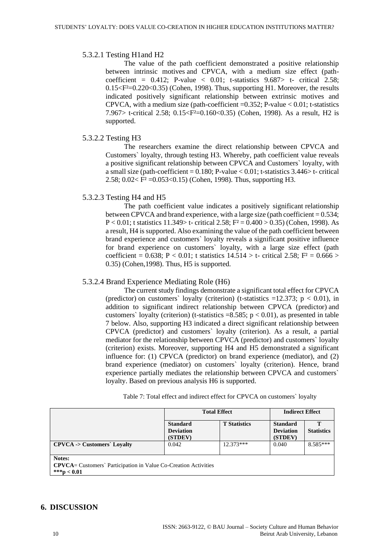#### 5.3.2.1 Testing H1and H2

The value of the path coefficient demonstrated a positive relationship between intrinsic motives and CPVCA, with a medium size effect (pathcoefficient =  $0.412$ ; P-value <  $0.01$ ; t-statistics  $9.687$  t- critical 2.58;  $0.15 \leq F^2 = 0.220 \leq 0.35$  (Cohen, 1998). Thus, supporting H1. Moreover, the results indicated positively significant relationship between extrinsic motives and CPVCA, with a medium size (path-coefficient  $=0.352$ ; P-value  $< 0.01$ ; t-statistics 7.967> t-critical 2.58; 0.15<F²=0.160<0.35) (Cohen, 1998). As a result, H2 is supported.

#### 5.3.2.2 Testing H3

The researchers examine the direct relationship between CPVCA and Customers` loyalty, through testing H3. Whereby, path coefficient value reveals a positive significant relationship between CPVCA and Customers` loyalty, with a small size (path-coefficient =  $0.180$ ; P-value <  $0.01$ ; t-statistics  $3.446$  > t- critical 2.58;  $0.02 < F^2 = 0.053 < 0.15$  (Cohen, 1998). Thus, supporting H3.

#### 5.3.2.3 Testing H4 and H5

The path coefficient value indicates a positively significant relationship between CPVCA and brand experience, with a large size (path coefficient  $= 0.534$ ; P < 0.01; t statistics 11.349> t- critical 2.58;  $F^2 = 0.400 > 0.35$ ) (Cohen, 1998). As a result, H4 is supported. Also examining the value of the path coefficient between brand experience and customers` loyalty reveals a significant positive influence for brand experience on customers` loyalty, with a large size effect (path coefficient = 0.638; P < 0.01; t statistics  $14.514 > t$ - critical 2.58; F<sup>2</sup> = 0.666 > 0.35) (Cohen,1998). Thus, H5 is supported.

#### 5.3.2.4 Brand Experience Mediating Role (H6)

The current study findings demonstrate a significant total effect for CPVCA (predictor) on customers` loyalty (criterion) (t-statistics  $=12.373$ ; p < 0.01), in addition to significant indirect relationship between CPVCA (predictor) and customers` loyalty (criterion) (t-statistics =8.585;  $p < 0.01$ ), as presented in table 7 below. Also, supporting H3 indicated a direct significant relationship between CPVCA (predictor) and customers` loyalty (criterion). As a result, a partial mediator for the relationship between CPVCA (predictor) and customers` loyalty (criterion) exists. Moreover, supporting H4 and H5 demonstrated a significant influence for: (1) CPVCA (predictor) on brand experience (mediator), and (2) brand experience (mediator) on customers` loyalty (criterion). Hence, brand experience partially mediates the relationship between CPVCA and customers` loyalty. Based on previous analysis H6 is supported.

|                                                                                                    | <b>Total Effect</b>                            |                     | <b>Indirect Effect</b>                         |                   |  |
|----------------------------------------------------------------------------------------------------|------------------------------------------------|---------------------|------------------------------------------------|-------------------|--|
|                                                                                                    | <b>Standard</b><br><b>Deviation</b><br>(STDEV) | <b>T</b> Statistics | <b>Standard</b><br><b>Deviation</b><br>(STDEV) | <b>Statistics</b> |  |
| $CPVCA \rightarrow$ Customers' Loyalty                                                             | 0.042                                          | $12.373***$         | 0.040                                          | $8.585***$        |  |
| Notes:<br><b>CPVCA</b> = Customers' Participation in Value Co-Creation Activities<br>***p $< 0.01$ |                                                |                     |                                                |                   |  |

Table 7: Total effect and indirect effect for CPVCA on customers` loyalty

# **6. DISCUSSION**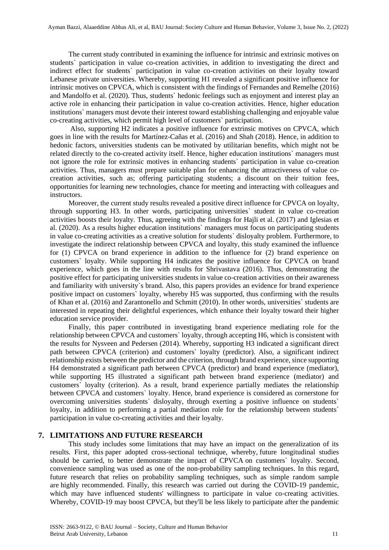The current study contributed in examining the influence for intrinsic and extrinsic motives on students` participation in value co-creation activities, in addition to investigating the direct and indirect effect for students` participation in value co-creation activities on their loyalty toward Lebanese private universities. Whereby, supporting H1 revealed a significant positive influence for intrinsic motives on CPVCA, which is consistent with the findings of Fernandes and Remelhe (2016) and Mandolfo et al. (2020). Thus, students` hedonic feelings such as enjoyment and interest play an active role in enhancing their participation in value co-creation activities. Hence, higher education institutions` managers must devote their interest toward establishing challenging and enjoyable value co-creating activities, which permit high level of customers` participation.

Also, supporting H2 indicates a positive influence for extrinsic motives on CPVCA, which goes in line with the results for Martínez-Cañas et al. (2016) and Shah (2018). Hence, in addition to hedonic factors, universities students can be motivated by utilitarian benefits, which might not be related directly to the co-created activity itself. Hence, higher education institutions` managers must not ignore the role for extrinsic motives in enhancing students` participation in value co-creation activities. Thus, managers must prepare suitable plan for enhancing the attractiveness of value cocreation activities, such as; offering participating students; a discount on their tuition fees, opportunities for learning new technologies, chance for meeting and interacting with colleagues and instructors.

Moreover, the current study results revealed a positive direct influence for CPVCA on loyalty, through supporting H3. In other words, participating universities` student in value co-creation activities boosts their loyalty. Thus, agreeing with the findings for Hajli et al. (2017) and Iglesias et al. (2020). As a results higher education institutions` managers must focus on participating students in value co-creating activities as a creative solution for students` disloyalty problem. Furthermore, to investigate the indirect relationship between CPVCA and loyalty, this study examined the influence for (1) CPVCA on brand experience in addition to the influence for (2) brand experience on customers` loyalty. While supporting H4 indicates the positive influence for CPVCA on brand experience, which goes in the line with results for Shrivastava (2016). Thus, demonstrating the positive effect for participating universities students in value co-creation activities on their awareness and familiarity with university`s brand. Also, this papers provides an evidence for brand experience positive impact on customers` loyalty, whereby H5 was supported, thus confirming with the results of Khan et al. (2016) and Zarantonello and Schmitt (2010). In other words, universities` students are interested in repeating their delightful experiences, which enhance their loyalty toward their higher education service provider.

Finally, this paper contributed in investigating brand experience mediating role for the relationship between CPVCA and customers` loyalty, through accepting H6, which is consistent with the results for Nysveen and Pedersen (2014). Whereby, supporting H3 indicated a significant direct path between CPVCA (criterion) and customers` loyalty (predictor). Also, a significant indirect relationship exists between the predictor and the criterion, through brand experience, since supporting H4 demonstrated a significant path between CPVCA (predictor) and brand experience (mediator), while supporting H5 illustrated a significant path between brand experience (mediator) and customers` loyalty (criterion). As a result, brand experience partially mediates the relationship between CPVCA and customers` loyalty. Hence, brand experience is considered as cornerstone for overcoming universities students` disloyalty, through exerting a positive influence on students` loyalty, in addition to performing a partial mediation role for the relationship between students` participation in value co-creating activities and their loyalty.

#### **7. LIMITATIONS AND FUTURE RESEARCH**

This study includes some limitations that may have an impact on the generalization of its results. First, this paper adopted cross-sectional technique, whereby, future longitudinal studies should be carried, to better demonstrate the impact of CPVCA on customers` loyalty. Second, convenience sampling was used as one of the non-probability sampling techniques. In this regard, future research that relies on probability sampling techniques, such as simple random sample are highly recommended. Finally, this research was carried out during the COVID-19 pandemic, which may have influenced students' willingness to participate in value co-creating activities. Whereby, COVID-19 may boost CPVCA, but they'll be less likely to participate after the pandemic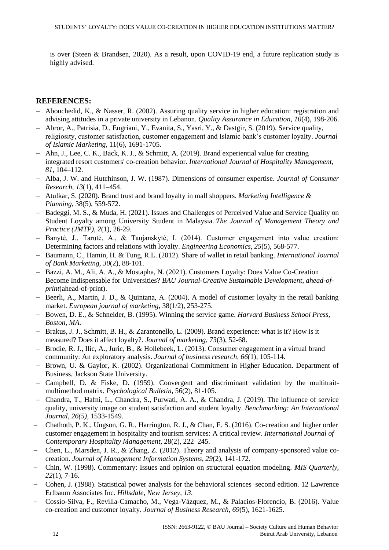is over (Steen & Brandsen, 2020). As a result, upon COVID-19 end, a future replication study is highly advised.

# **REFERENCES:**

- − Abouchedid, K., & Nasser, R. (2002). Assuring quality service in higher education: registration and advising attitudes in a private university in Lebanon. *Quality Assurance in Education*, *10*(4), 198-206.
- − Abror, A., Patrisia, D., Engriani, Y., Evanita, S., Yasri, Y., & Dastgir, S. (2019). Service quality, religiosity, customer satisfaction, customer engagement and Islamic bank's customer loyalty. *Journal of Islamic Marketing*, 11(6), 1691-1705.
- − Ahn, J., Lee, C. K., Back, K. J., & Schmitt, A. (2019). Brand experiential value for creating integrated resort customers' co-creation behavior. *International Journal of Hospitality Management, 81*, 104–112.
- − Alba, J. W. and Hutchinson, J. W. (1987). Dimensions of consumer expertise. *Journal of Consumer Research*, *13*(1), 411–454.
- − Atulkar, S. (2020). Brand trust and brand loyalty in mall shoppers. *Marketing Intelligence & Planning*, 38(5), 559-572.
- − Badeggi, M. S., & Muda, H. (2021). Issues and Challenges of Perceived Value and Service Quality on Student Loyalty among University Student in Malaysia. *The Journal of Management Theory and Practice (JMTP)*, *2*(1), 26-29.
- − Banytė, J., Tarutė, A., & Taujanskytė, I. (2014). Customer engagement into value creation: Determining factors and relations with loyalty. *Engineering Economics*, *25*(5), 568-577.
- − Baumann, C., Hamin, H. & Tung, R.L. (2012). Share of wallet in retail banking. *International Journal of Bank Marketing, 30*(2), 88-101.
- − Bazzi, A. M., Ali, A. A., & Mostapha, N. (2021). Customers Loyalty: Does Value Co-Creation Become Indispensable for Universities? *BAU Journal-Creative Sustainable Development*, *ahead-ofprint*(ahead-of-print).
- − Beerli, A., Martin, J. D., & Quintana, A. (2004). A model of customer loyalty in the retail banking market. *European journal of marketing*, 38(1/2), 253-275.
- − Bowen, D. E., & Schneider, B. (1995). Winning the service game. *Harvard Business School Press, Boston, MA*.
- − Brakus, J. J., Schmitt, B. H., & Zarantonello, L. (2009). Brand experience: what is it? How is it measured? Does it affect loyalty?. *Journal of marketing*, *73*(3), 52-68.
- − Brodie, R. J., Ilic, A., Juric, B., & Hollebeek, L. (2013). Consumer engagement in a virtual brand community: An exploratory analysis. *Journal of business research*, *66*(1), 105-114.
- − Brown, U. & Gaylor, K. (2002). Organizational Commitment in Higher Education. Department of Business, Jackson State University.
- − Campbell, D. & Fiske, D. (1959). Convergent and discriminant validation by the multitraitmultimethod matrix. *Psychological Bulletin*, 56(2), 81-105.
- − Chandra, T., Hafni, L., Chandra, S., Purwati, A. A., & Chandra, J. (2019). The influence of service quality, university image on student satisfaction and student loyalty. *Benchmarking: An International Journal*, *26(5),* 1533-1549.
- − Chathoth, P. K., Ungson, G. R., Harrington, R. J., & Chan, E. S. (2016). Co-creation and higher order customer engagement in hospitality and tourism services: A critical review. *International Journal of Contemporary Hospitality Management*, 28(2), 222–245.
- − Chen, L., Marsden, J. R., & Zhang, Z. (2012). Theory and analysis of company-sponsored value cocreation. *Journal of Management Information Systems*, *29*(2), 141-172.
- − Chin, W. (1998). Commentary: Issues and opinion on structural equation modeling. *MIS Quarterly*, *22*(1), 7-16.
- − Cohen, J. (1988). Statistical power analysis for the behavioral sciences–second edition. 12 Lawrence Erlbaum Associates Inc. *Hillsdale, New Jersey*, *13*.
- − Cossío-Silva, F., Revilla-Camacho, M., Vega-Vázquez, M., & Palacios-Florencio, B. (2016). Value co-creation and customer loyalty. *Journal of Business Research, 69*(5), 1621-1625.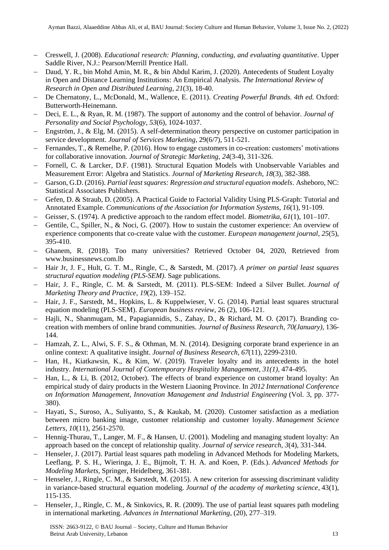- − Creswell, J. (2008). *Educational research: Planning, conducting, and evaluating quantitative*. Upper Saddle River, N.J.: Pearson/Merrill Prentice Hall.
- − Daud, Y. R., bin Mohd Amin, M. R., & bin Abdul Karim, J. (2020). Antecedents of Student Loyalty in Open and Distance Learning Institutions: An Empirical Analysis. *The International Review of Research in Open and Distributed Learning*, *21*(3), 18-40.
- − De Chernatony, L., McDonald, M., Wallence, E. (2011). *Creating Powerful Brands. 4th ed.* Oxford: Butterworth-Heinemann.
- − Deci, E. L., & Ryan, R. M. (1987). The support of autonomy and the control of behavior. *Journal of Personality and Social Psychology*, *53*(6), 1024-1037.
- − Engström, J., & Elg, M. (2015). A self-determination theory perspective on customer participation in service development. *Journal of Services Marketing*, 29(6/7), 511-521.
- − Fernandes, T., & Remelhe, P. (2016). How to engage customers in co-creation: customers' motivations for collaborative innovation. *Journal of Strategic Marketing*, *24*(3-4), 311-326.
- − Fornell, C. & Larcker, D.F. (1981). Structural Equation Models with Unobservable Variables and Measurement Error: Algebra and Statistics. *Journal of Marketing Research*, *18*(3), 382-388.
- − Garson, G.D. (2016). *Partial least squares: Regression and structural equation models*. Asheboro, NC: Statistical Associates Publishers.
- − Gefen, D. & Straub, D. (2005). A Practical Guide to Factorial Validity Using PLS-Graph: Tutorial and Annotated Example. *Communications of the Association for Information Systems*, *16*(1), 91-109.
- − Geisser, S. (1974). A predictive approach to the random effect model. *Biometrika*, *61*(1), 101–107.
- Gentile, C., Spiller, N., & Noci, G. (2007). How to sustain the customer experience: An overview of experience components that co-create value with the customer. *European management journal*, *25*(5), 395-410.
- − Ghanem, R. (2018). Too many universities? Retrieved October 04, 2020, Retrieved from [www.businessnews.com.lb](http://www.businessnews.com.lb/cms/Story/StoryDetails.aspx?ItemID=6382)
- − Hair Jr, J. F., Hult, G. T. M., Ringle, C., & Sarstedt, M. (2017). *A primer on partial least squares structural equation modeling (PLS-SEM)*. Sage publications.
- − Hair, J. F., Ringle, C. M. & Sarstedt, M. (2011). PLS-SEM: Indeed a Silver Bullet. *Journal of Marketing Theory and Practice*, *19*(2), 139–152.
- − Hair, J. F., Sarstedt, M., Hopkins, L. & Kuppelwieser, V. G. (2014). Partial least squares structural equation modeling (PLS-SEM). *European business review*, 26 (2), 106-121.
- − Hajli, N., Shanmugam, M., Papagiannidis, S., Zahay, D., & Richard, M. O. (2017). Branding cocreation with members of online brand communities. *Journal of Business Research*, *70(January)*, 136- 144.
- − Hamzah, Z. L., Alwi, S. F. S., & Othman, M. N. (2014). Designing corporate brand experience in an online context: A qualitative insight. *Journal of Business Research*, *67*(11), 2299-2310.
- − Han, H., Kiatkawsin, K., & Kim, W. (2019). Traveler loyalty and its antecedents in the hotel industry. *International Journal of Contemporary Hospitality Management*, *31(1),* 474-495.
- − Han, L., & Li, B. (2012, October). The effects of brand experience on customer brand loyalty: An empirical study of dairy products in the Western Liaoning Province. In *2012 International Conference on Information Management, Innovation Management and Industrial Engineering* (Vol. 3, pp. 377- 380).
- − Hayati, S., Suroso, A., Suliyanto, S., & Kaukab, M. (2020). Customer satisfaction as a mediation between micro banking image, customer relationship and customer loyalty. *Management Science Letters*, *10*(11), 2561-2570.
- − Hennig-Thurau, T., Langer, M. F., & Hansen, U. (2001). Modeling and managing student loyalty: An approach based on the concept of relationship quality. *Journal of service research*, *3*(4), 331-344.
- − Henseler, J. (2017). Partial least squares path modeling in Advanced Methods for Modeling Markets, Leeflang, P. S. H., Wieringa, J. E., Bijmolt, T. H. A. and Koen, P. (Eds.). *Advanced Methods for Modeling Markets,* Springer, Heidelberg, 361-381.
- − Henseler, J., Ringle, C. M., & Sarstedt, M. (2015). A new criterion for assessing discriminant validity in variance-based structural equation modeling. *Journal of the academy of marketing science*, 43(1), 115-135.
- − Henseler, J., Ringle, C. M., & Sinkovics, R. R. (2009). The use of partial least squares path modeling in international marketing. *Advances in International Marketing*, (20), 277–319.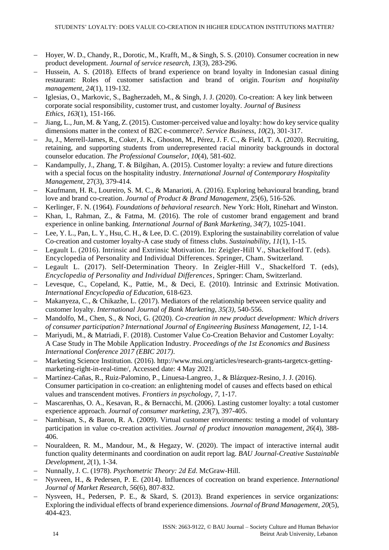- − Hoyer, W. D., Chandy, R., Dorotic, M., Krafft, M., & Singh, S. S. (2010). Consumer cocreation in new product development. *Journal of service research*, *13*(3), 283-296.
- − Hussein, A. S. (2018). Effects of brand experience on brand loyalty in Indonesian casual dining restaurant: Roles of customer satisfaction and brand of origin. *Tourism and hospitality management*, *24*(1), 119-132.
- − Iglesias, O., Markovic, S., Bagherzadeh, M., & Singh, J. J. (2020). Co-creation: A key link between corporate social responsibility, customer trust, and customer loyalty. *Journal of Business Ethics*, *163*(1), 151-166.
- − Jiang, L., Jun, M. & Yang, Z. (2015). Customer-perceived value and loyalty: how do key service quality dimensions matter in the context of B2C e-commerce?. *Service Business*, *10*(2), 301-317.
- − Ju, J., Merrell-James, R., Coker, J. K., Ghoston, M., Pérez, J. F. C., & Field, T. A. (2020). Recruiting, retaining, and supporting students from underrepresented racial minority backgrounds in doctoral counselor education. *The Professional Counselor*, *10*(4), 581-602.
- − Kandampully, J., Zhang, T. & Bilgihan, A. (2015). Customer loyalty: a review and future directions with a special focus on the hospitality industry. *International Journal of Contemporary Hospitality Management*, 27(3), 379-414.
- − Kaufmann, H. R., Loureiro, S. M. C., & Manarioti, A. (2016). Exploring behavioural branding, brand love and brand co-creation. *Journal of Product & Brand Management*, 25(6), 516-526.
- − Kerlinger, F. N. (1964). *Foundations of behavioral research*. New York: Holt, Rinehart and Winston.
- − Khan, I., Rahman, Z., & Fatma, M. (2016). The role of customer brand engagement and brand experience in online banking. *International Journal of Bank Marketing*, *34(7),* 1025-1041.
- − Lee, Y. L., Pan, L. Y., Hsu, C. H., & Lee, D. C. (2019). Exploring the sustainability correlation of value Co-creation and customer loyalty-A case study of fitness clubs. *Sustainability*, *11*(1), 1-15.
- − Legault L. (2016). Intrinsic and Extrinsic Motivation. In: Zeigler-Hill V., Shackelford T. (eds). Encyclopedia of Personality and Individual Differences. Springer, Cham. Switzerland.
- − Legault L. (2017). Self-Determination Theory. In Zeigler-Hill V., Shackelford T. (eds), *Encyclopedia of Personality and Individual Differences*, Springer: Cham, Switzerland.
- − Levesque, C., Copeland, K., Pattie, M., & Deci, E. (2010). Intrinsic and Extrinsic Motivation. *International Encyclopedia of Education,* 618-623.
- Makanyeza, C., & Chikazhe, L. (2017). Mediators of the relationship between service quality and customer loyalty. *International Journal of Bank Marketing*, *35(3),* 540-556.
- − Mandolfo, M., Chen, S., & Noci, G. (2020). *Co-creation in new product development: Which drivers of consumer participation? International Journal of Engineering Business Management, 12,* 1-14.
- − Mariyudi, M., & Matriadi, F. (2018). Customer Value Co-Creation Behavior and Customer Loyalty: A Case Study in The Mobile Application Industry. *Proceedings of the 1st Economics and Business International Conference 2017 (EBIC 2017)*.
- − Marketing Science Institution. (2016). http://www.msi.org/articles/research-grants-targetcx-gettingmarketing-right-in-real-time/, Accessed date: 4 May 2021.
- − Martínez-Cañas, R., Ruiz-Palomino, P., Linuesa-Langreo, J., & Blázquez-Resino, J. J. (2016). Consumer participation in co-creation: an enlightening model of causes and effects based on ethical values and transcendent motives. *Frontiers in psychology*, *7*, 1-17.
- − Mascarenhas, O. A., Kesavan, R., & Bernacchi, M. (2006). Lasting customer loyalty: a total customer experience approach. *Journal of consumer marketing*, *23*(7), 397-405.
- − Nambisan, S., & Baron, R. A. (2009). Virtual customer environments: testing a model of voluntary participation in value co-creation activities. *Journal of product innovation management*, 26(4), 388-406.
- − Nouraldeen, R. M., Mandour, M., & Hegazy, W. (2020). The impact of interactive internal audit function quality determinants and coordination on audit report lag. *BAU Journal-Creative Sustainable Development*, *2*(1), 1-34.
- − Nunnally, J. C. (1978). *Psychometric Theory: 2d Ed*. McGraw-Hill.
- − Nysveen, H., & Pedersen, P. E. (2014). Influences of cocreation on brand experience. *International Journal of Market Research*, *56*(6), 807-832.
- − Nysveen, H., Pedersen, P. E., & Skard, S. (2013). Brand experiences in service organizations: Exploring the individual effects of brand experience dimensions. *Journal of Brand Management*, *20*(5), 404-423.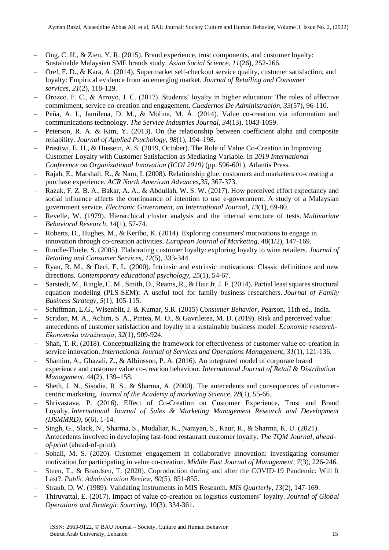- − Ong, C. H., & Zien, Y. R. (2015). Brand experience, trust components, and customer loyalty: Sustainable Malaysian SME brands study. *Asian Social Science*, *11*(26), 252-266.
- − Orel, F. D., & Kara, A. (2014). Supermarket self-checkout service quality, customer satisfaction, and loyalty: Empirical evidence from an emerging market. *Journal of Retailing and Consumer services*, *21*(2), 118-129.
- − Orozco, F. C., & Arroyo, J. C. (2017). Students' loyalty in higher education: The roles of affective commitment, service co-creation and engagement. *Cuadernos De Administración, 33*(57), 96-110.
- − Peña, A. I., Jamilena, D. M., & Molina, M. Á. (2014). Value co-creation via information and communications technology. *The Service Industries Journal*, *34*(13), 1043-1059.
- − Peterson, R. A. & Kim, Y. (2013). On the relationship between coefficient alpha and composite reliability. *Journal of Applied Psychology*, *98*(1), 194–198.
- − Prastiwi, E. H., & Hussein, A. S. (2019, October). The Role of Value Co-Creation in Improving Customer Loyalty with Customer Satisfaction as Mediating Variable. In *2019 International Conference on Organizational Innovation (ICOI 2019)* (pp. 596-601). Atlantis Press.
- − Rajah, E., Marshall, R., & Nam, I. (2008). Relationship glue: customers and marketers co-creating a purchase experience. *ACR North American Advances,35*, 367-373.
- − Razak, F. Z. B. A., Bakar, A. A., & Abdullah, W. S. W. (2017). How perceived effort expectancy and social influence affects the continuance of intention to use e-government. A study of a Malaysian government service. *Electronic Government, an International Journal*, *13*(1), 69-80.
- − Revelle, W. (1979). Hierarchical cluster analysis and the internal structure of tests. *Multivariate Behavioral Research*, *14*(1), 57-74.
- − Roberts, D., Hughes, M., & Kertbo, K. (2014). Exploring consumers' motivations to engage in innovation through co-creation activities. *European Journal of Marketing*, 48(1/2), 147-169.
- − Rundle-Thiele, S. (2005). Elaborating customer loyalty: exploring loyalty to wine retailers. *Journal of Retailing and Consumer Services*, *12*(5), 333-344.
- − Ryan, R. M., & Deci, E. L. (2000). Intrinsic and extrinsic motivations: Classic definitions and new directions. *Contemporary educational psychology*, *25*(1), 54-67.
- − Sarstedt, M., Ringle, C. M., Smith, D., Reams, R., & Hair Jr, J. F. (2014). Partial least squares structural equation modeling (PLS-SEM): A useful tool for family business researchers. *Journal of Family Business Strategy*, *5*(1), 105-115.
- − Schiffman, L.G., Wisenblit, J. & Kumar, S.R. (2015) *Consumer Behavior*, Pearson, 11th ed., India.
- − Scridon, M. A., Achim, S. A., Pintea, M. O., & Gavriletea, M. D. (2019). Risk and perceived value: antecedents of customer satisfaction and loyalty in a sustainable business model. *Economic research-Ekonomska istraživanja*, *32*(1), 909-924.
- Shah, T. R. (2018). Conceptualizing the framework for effectiveness of customer value co-creation in service innovation. *International Journal of Services and Operations Management*, *31*(1), 121-136.
- − Shamim, A., Ghazali, Z., & Albinsson, P. A. (2016). An integrated model of corporate brand experience and customer value co-creation behaviour. *International Journal of Retail & Distribution Management*, 44(2), 139–158.
- − Sheth, J. N., Sisodia, R. S., & Sharma, A. (2000). The antecedents and consequences of customercentric marketing. *Journal of the Academy of marketing Science*, *28*(1), 55-66.
- Shrivastava, P. (2016). Effect of Co-Creation on Customer Experience, Trust and Brand Loyalty. *International Journal of Sales & Marketing Management Research and Development (IJSMMRD)*, *6*(6), 1-14.
- − Singh, G., Slack, N., Sharma, S., Mudaliar, K., Narayan, S., Kaur, R., & Sharma, K. U. (2021). Antecedents involved in developing fast-food restaurant customer loyalty. *The TQM Journal*, *aheadof-print* (ahead-of-print).
- Sohail, M. S. (2020). Customer engagement in collaborative innovation: investigating consumer motivation for participating in value co-creation. *Middle East Journal of Management*, *7*(3), 226-246.
- − Steen, T., & Brandsen, T. (2020). Coproduction during and after the COVID‐19 Pandemic: Will It Last?. *Public Administration Review*, *80*(5), 851-855.
- − Straub, D. W. (1989). Validating Instruments in MIS Research. *MIS Quarterly, 13*(2), 147-169.
- − Thiruvattal, E. (2017). Impact of value co-creation on logistics customers' loyalty. *Journal of Global Operations and Strategic Sourcing*, 10(3), 334-361.